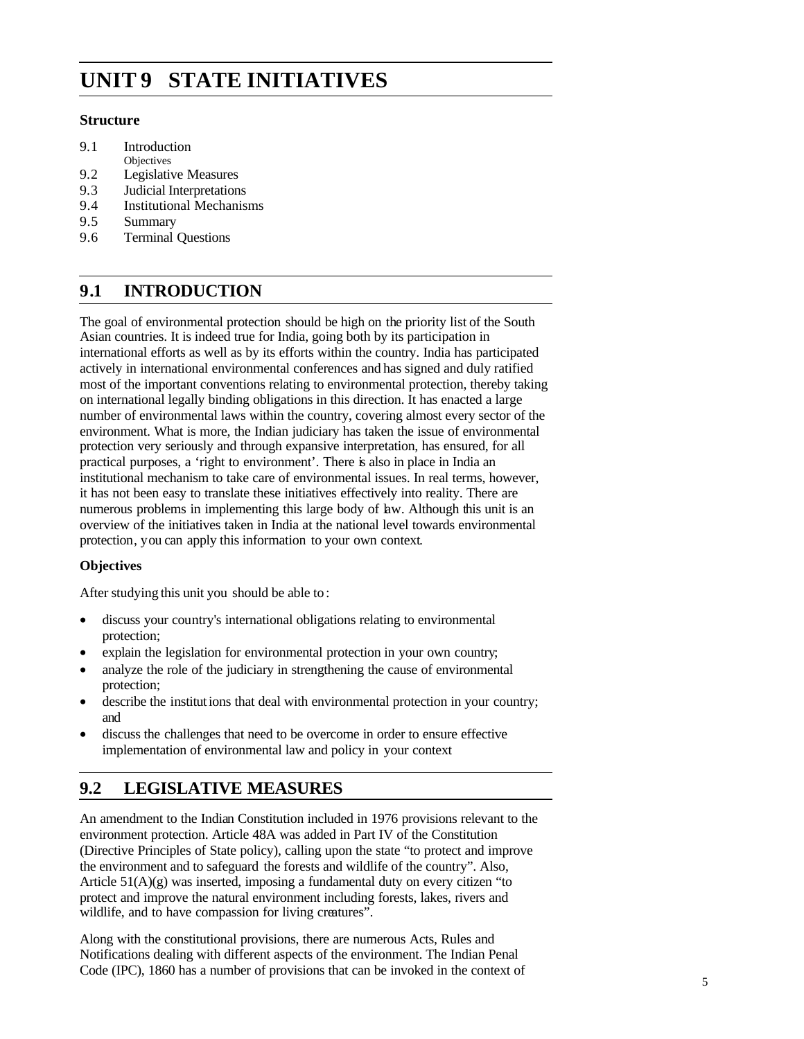# **UNIT 9 STATE INITIATIVES**

### **Structure**

- 9.1 Introduction
- **Objectives**
- 9.2 Legislative Measures 9.3 Judicial Interpretations
- 9.4 Institutional Mechanisms
- 9.5 Summary
- 
- 9.6 Terminal Questions

# **9.1 INTRODUCTION**

The goal of environmental protection should be high on the priority list of the South Asian countries. It is indeed true for India, going both by its participation in international efforts as well as by its efforts within the country. India has participated actively in international environmental conferences and has signed and duly ratified most of the important conventions relating to environmental protection, thereby taking on international legally binding obligations in this direction. It has enacted a large number of environmental laws within the country, covering almost every sector of the environment. What is more, the Indian judiciary has taken the issue of environmental protection very seriously and through expansive interpretation, has ensured, for all practical purposes, a 'right to environment'. There is also in place in India an institutional mechanism to take care of environmental issues. In real terms, however, it has not been easy to translate these initiatives effectively into reality. There are numerous problems in implementing this large body of law. Although this unit is an overview of the initiatives taken in India at the national level towards environmental protection, you can apply this information to your own context.

### **Objectives**

After studying this unit you should be able to :

- discuss your country's international obligations relating to environmental protection;
- explain the legislation for environmental protection in your own country;
- analyze the role of the judiciary in strengthening the cause of environmental protection;
- describe the institutions that deal with environmental protection in your country; and
- discuss the challenges that need to be overcome in order to ensure effective implementation of environmental law and policy in your context

## **9.2 LEGISLATIVE MEASURES**

An amendment to the Indian Constitution included in 1976 provisions relevant to the environment protection. Article 48A was added in Part IV of the Constitution (Directive Principles of State policy), calling upon the state "to protect and improve the environment and to safeguard the forests and wildlife of the country". Also, Article 51(A)(g) was inserted, imposing a fundamental duty on every citizen "to protect and improve the natural environment including forests, lakes, rivers and wildlife, and to have compassion for living creatures".

Along with the constitutional provisions, there are numerous Acts, Rules and Notifications dealing with different aspects of the environment. The Indian Penal Code (IPC), 1860 has a number of provisions that can be invoked in the context of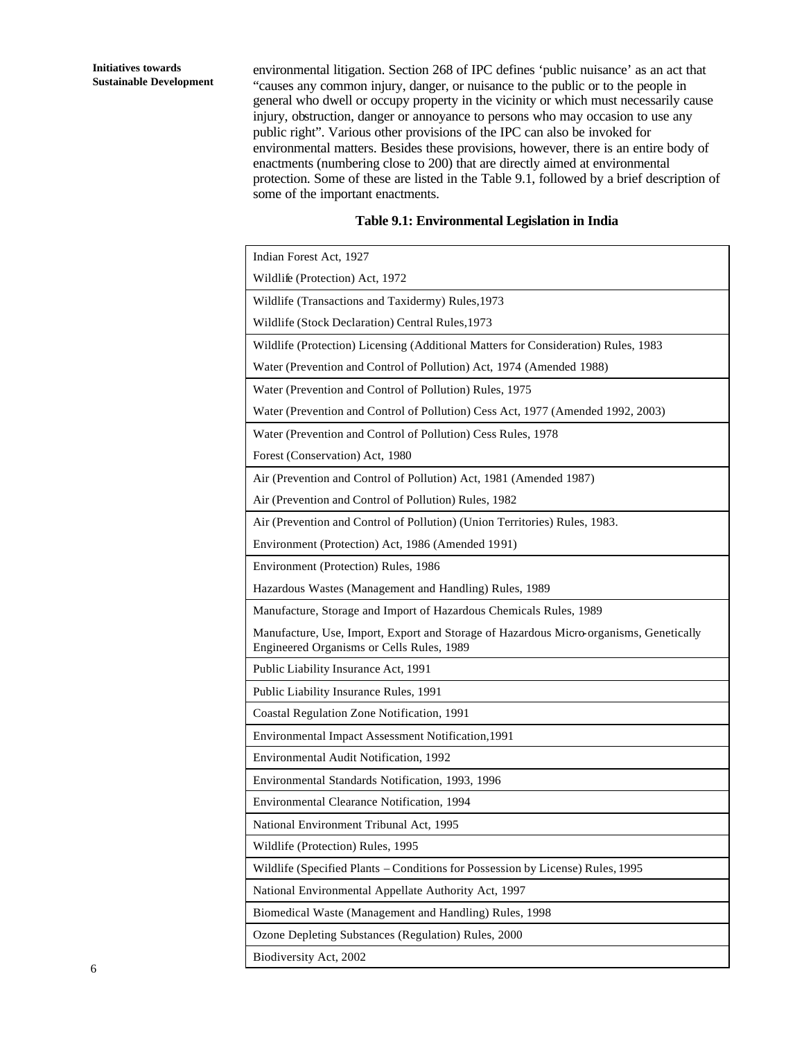environmental litigation. Section 268 of IPC defines 'public nuisance' as an act that "causes any common injury, danger, or nuisance to the public or to the people in general who dwell or occupy property in the vicinity or which must necessarily cause injury, obstruction, danger or annoyance to persons who may occasion to use any public right". Various other provisions of the IPC can also be invoked for environmental matters. Besides these provisions, however, there is an entire body of enactments (numbering close to 200) that are directly aimed at environmental protection. Some of these are listed in the Table 9.1, followed by a brief description of some of the important enactments.

#### **Table 9.1: Environmental Legislation in India**

| Indian Forest Act, 1927                                                                                                             |
|-------------------------------------------------------------------------------------------------------------------------------------|
| Wildlife (Protection) Act, 1972                                                                                                     |
| Wildlife (Transactions and Taxidermy) Rules, 1973                                                                                   |
| Wildlife (Stock Declaration) Central Rules, 1973                                                                                    |
| Wildlife (Protection) Licensing (Additional Matters for Consideration) Rules, 1983                                                  |
| Water (Prevention and Control of Pollution) Act, 1974 (Amended 1988)                                                                |
| Water (Prevention and Control of Pollution) Rules, 1975                                                                             |
| Water (Prevention and Control of Pollution) Cess Act, 1977 (Amended 1992, 2003)                                                     |
| Water (Prevention and Control of Pollution) Cess Rules, 1978                                                                        |
| Forest (Conservation) Act, 1980                                                                                                     |
| Air (Prevention and Control of Pollution) Act, 1981 (Amended 1987)                                                                  |
| Air (Prevention and Control of Pollution) Rules, 1982                                                                               |
| Air (Prevention and Control of Pollution) (Union Territories) Rules, 1983.                                                          |
| Environment (Protection) Act, 1986 (Amended 1991)                                                                                   |
| Environment (Protection) Rules, 1986                                                                                                |
| Hazardous Wastes (Management and Handling) Rules, 1989                                                                              |
| Manufacture, Storage and Import of Hazardous Chemicals Rules, 1989                                                                  |
| Manufacture, Use, Import, Export and Storage of Hazardous Micro-organisms, Genetically<br>Engineered Organisms or Cells Rules, 1989 |
| Public Liability Insurance Act, 1991                                                                                                |
| Public Liability Insurance Rules, 1991                                                                                              |
| Coastal Regulation Zone Notification, 1991                                                                                          |
| Environmental Impact Assessment Notification, 1991                                                                                  |
| Environmental Audit Notification, 1992                                                                                              |
| Environmental Standards Notification, 1993, 1996                                                                                    |
| Environmental Clearance Notification, 1994                                                                                          |
| National Environment Tribunal Act, 1995                                                                                             |
| Wildlife (Protection) Rules, 1995                                                                                                   |
| Wildlife (Specified Plants – Conditions for Possession by License) Rules, 1995                                                      |
| National Environmental Appellate Authority Act, 1997                                                                                |
| Biomedical Waste (Management and Handling) Rules, 1998                                                                              |
| Ozone Depleting Substances (Regulation) Rules, 2000                                                                                 |
|                                                                                                                                     |

Biodiversity Act, 2002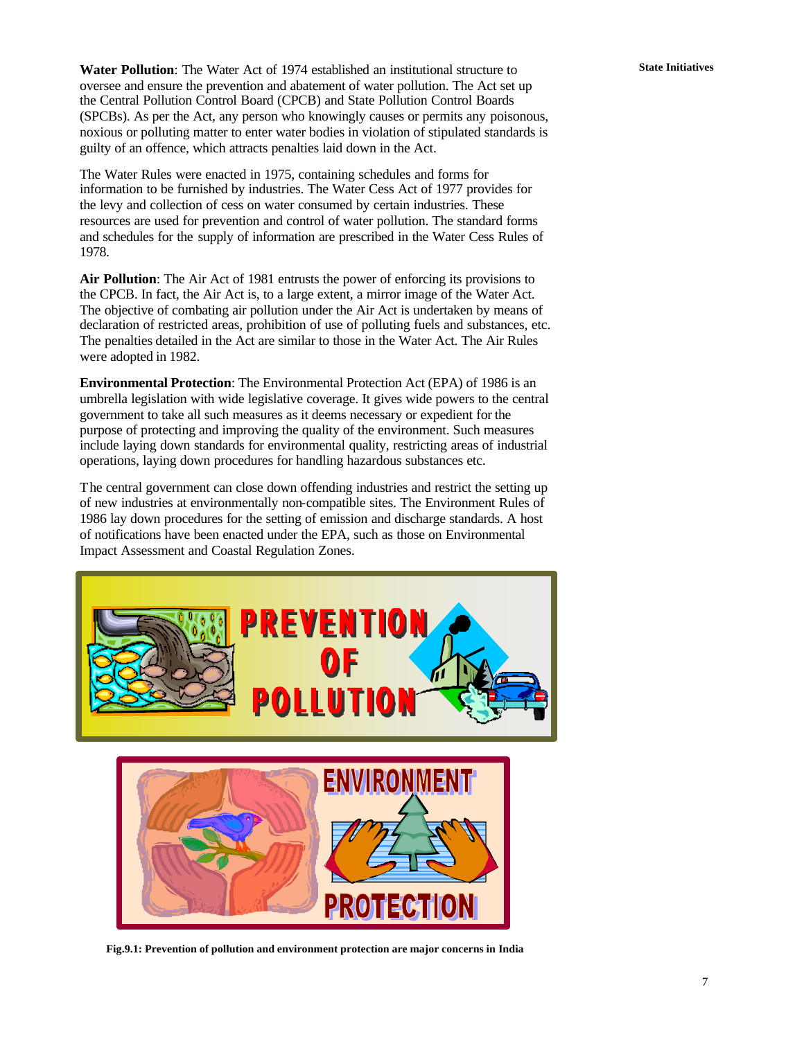**Water Pollution:** The Water Act of 1974 established an institutional structure to **State Initiatives** oversee and ensure the prevention and abatement of water pollution. The Act set up the Central Pollution Control Board (CPCB) and State Pollution Control Boards (SPCBs). As per the Act, any person who knowingly causes or permits any poisonous, noxious or polluting matter to enter water bodies in violation of stipulated standards is guilty of an offence, which attracts penalties laid down in the Act.

The Water Rules were enacted in 1975, containing schedules and forms for information to be furnished by industries. The Water Cess Act of 1977 provides for the levy and collection of cess on water consumed by certain industries. These resources are used for prevention and control of water pollution. The standard forms and schedules for the supply of information are prescribed in the Water Cess Rules of 1978.

**Air Pollution**: The Air Act of 1981 entrusts the power of enforcing its provisions to the CPCB. In fact, the Air Act is, to a large extent, a mirror image of the Water Act. The objective of combating air pollution under the Air Act is undertaken by means of declaration of restricted areas, prohibition of use of polluting fuels and substances, etc. The penalties detailed in the Act are similar to those in the Water Act. The Air Rules were adopted in 1982.

**Environmental Protection**: The Environmental Protection Act (EPA) of 1986 is an umbrella legislation with wide legislative coverage. It gives wide powers to the central government to take all such measures as it deems necessary or expedient for the purpose of protecting and improving the quality of the environment. Such measures include laying down standards for environmental quality, restricting areas of industrial operations, laying down procedures for handling hazardous substances etc.

The central government can close down offending industries and restrict the setting up of new industries at environmentally non-compatible sites. The Environment Rules of 1986 lay down procedures for the setting of emission and discharge standards. A host of notifications have been enacted under the EPA, such as those on Environmental Impact Assessment and Coastal Regulation Zones.



**Fig.9.1: Prevention of pollution and environment protection are major concerns in India**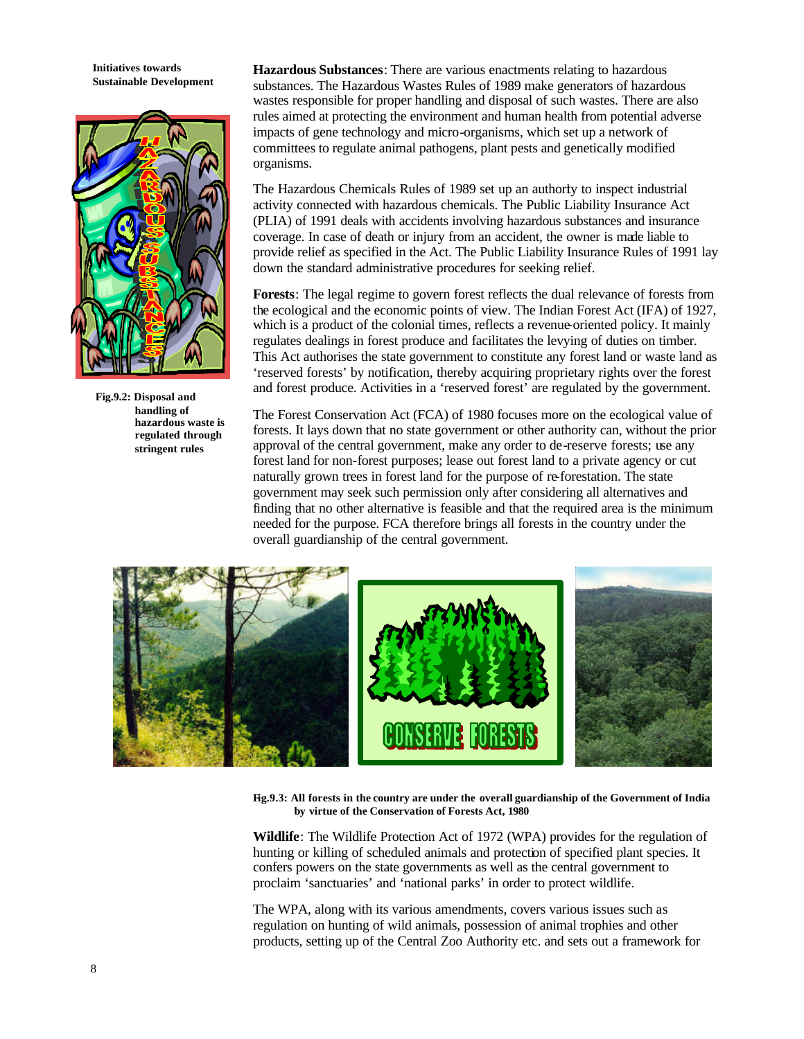**Initiatives towards Sustainable Development**



**Fig.9.2: Disposal and handling of hazardous waste is regulated through stringent rules** 

**Hazardous Substances**: There are various enactments relating to hazardous substances. The Hazardous Wastes Rules of 1989 make generators of hazardous wastes responsible for proper handling and disposal of such wastes. There are also rules aimed at protecting the environment and human health from potential adverse impacts of gene technology and micro-organisms, which set up a network of committees to regulate animal pathogens, plant pests and genetically modified organisms.

The Hazardous Chemicals Rules of 1989 set up an authority to inspect industrial activity connected with hazardous chemicals. The Public Liability Insurance Act (PLIA) of 1991 deals with accidents involving hazardous substances and insurance coverage. In case of death or injury from an accident, the owner is made liable to provide relief as specified in the Act. The Public Liability Insurance Rules of 1991 lay down the standard administrative procedures for seeking relief.

**Forests**: The legal regime to govern forest reflects the dual relevance of forests from the ecological and the economic points of view. The Indian Forest Act (IFA) of 1927, which is a product of the colonial times, reflects a revenue-oriented policy. It mainly regulates dealings in forest produce and facilitates the levying of duties on timber. This Act authorises the state government to constitute any forest land or waste land as 'reserved forests' by notification, thereby acquiring proprietary rights over the forest and forest produce. Activities in a 'reserved forest' are regulated by the government.

The Forest Conservation Act (FCA) of 1980 focuses more on the ecological value of forests. It lays down that no state government or other authority can, without the prior approval of the central government, make any order to de-reserve forests; use any forest land for non-forest purposes; lease out forest land to a private agency or cut naturally grown trees in forest land for the purpose of re-forestation. The state government may seek such permission only after considering all alternatives and finding that no other alternative is feasible and that the required area is the minimum needed for the purpose. FCA therefore brings all forests in the country under the overall guardianship of the central government.



**Fig.9.3: All forests in the country are under the overall guardianship of the Government of India by virtue of the Conservation of Forests Act, 1980**

**Wildlife**: The Wildlife Protection Act of 1972 (WPA) provides for the regulation of hunting or killing of scheduled animals and protection of specified plant species. It confers powers on the state governments as well as the central government to proclaim 'sanctuaries' and 'national parks' in order to protect wildlife.

The WPA, along with its various amendments, covers various issues such as regulation on hunting of wild animals, possession of animal trophies and other products, setting up of the Central Zoo Authority etc. and sets out a framework for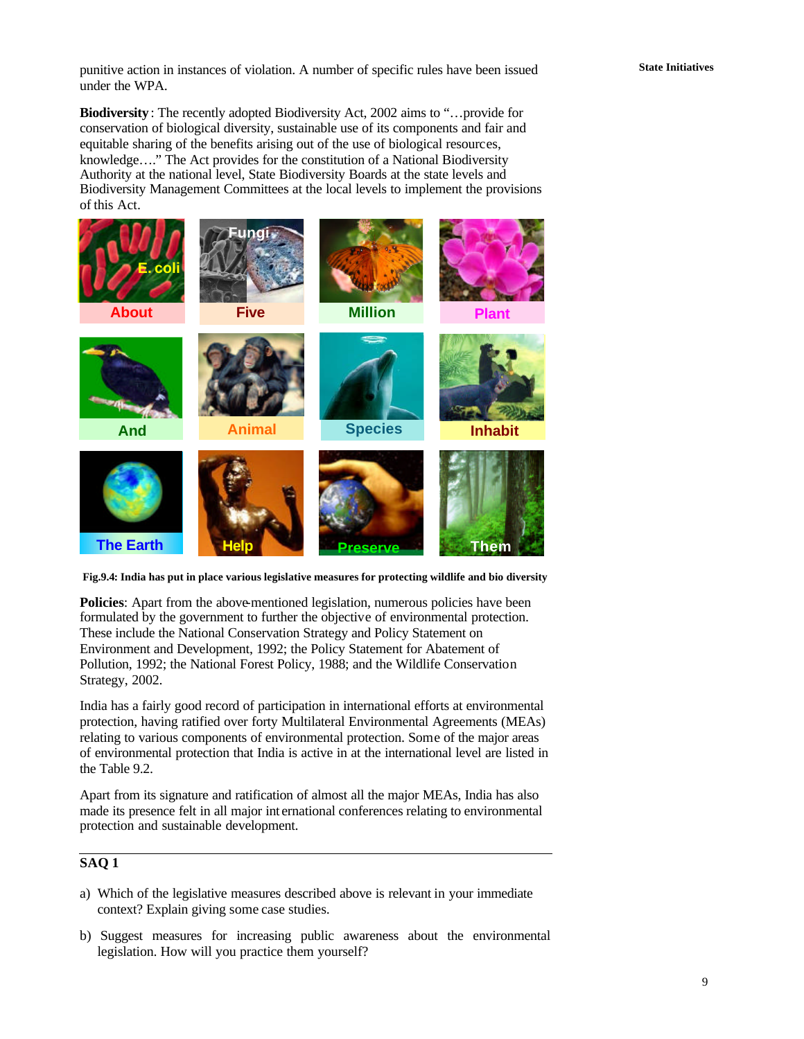**State Initiatives** punitive action in instances of violation. A number of specific rules have been issued under the WPA.

**Biodiversity** : The recently adopted Biodiversity Act, 2002 aims to "…provide for conservation of biological diversity, sustainable use of its components and fair and equitable sharing of the benefits arising out of the use of biological resources, knowledge…." The Act provides for the constitution of a National Biodiversity Authority at the national level, State Biodiversity Boards at the state levels and Biodiversity Management Committees at the local levels to implement the provisions of this Act.



**Fig.9.4: India has put in place various legislative measures for protecting wildlife and bio diversity**

**Policies**: Apart from the above-mentioned legislation, numerous policies have been formulated by the government to further the objective of environmental protection. These include the National Conservation Strategy and Policy Statement on Environment and Development, 1992; the Policy Statement for Abatement of Pollution, 1992; the National Forest Policy, 1988; and the Wildlife Conservation Strategy, 2002.

India has a fairly good record of participation in international efforts at environmental protection, having ratified over forty Multilateral Environmental Agreements (MEAs) relating to various components of environmental protection. Some of the major areas of environmental protection that India is active in at the international level are listed in the Table 9.2.

Apart from its signature and ratification of almost all the major MEAs, India has also made its presence felt in all major int ernational conferences relating to environmental protection and sustainable development.

### **SAQ 1**

- a) Which of the legislative measures described above is relevant in your immediate context? Explain giving some case studies.
- b) Suggest measures for increasing public awareness about the environmental legislation. How will you practice them yourself?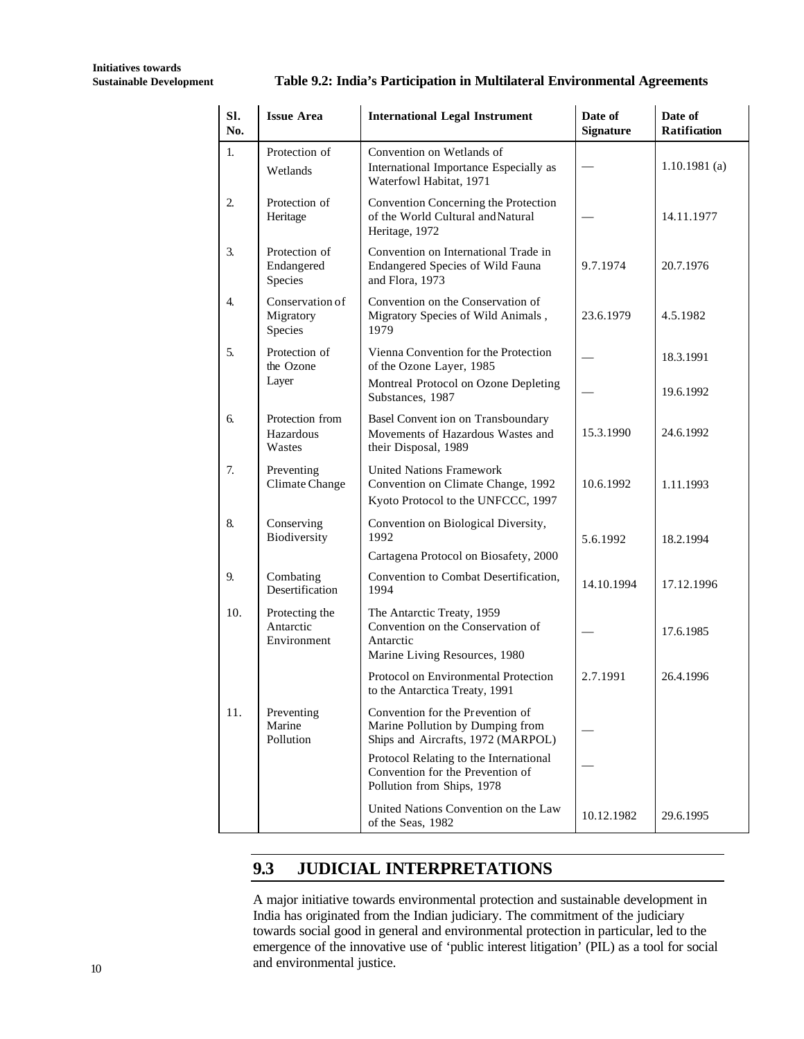#### **Sustainable Development Table 9.2: India's Participation in Multilateral Environmental Agreements**

| SI.<br>No.     | <b>Issue Area</b>                          | <b>International Legal Instrument</b>                                                                         | Date of<br><b>Signature</b> | Date of<br><b>Ratification</b> |
|----------------|--------------------------------------------|---------------------------------------------------------------------------------------------------------------|-----------------------------|--------------------------------|
| 1.             | Protection of<br>Wetlands                  | Convention on Wetlands of<br>International Importance Especially as<br>Waterfowl Habitat, 1971                |                             | $1.10.1981$ (a)                |
| $\overline{2}$ | Protection of<br>Heritage                  | Convention Concerning the Protection<br>of the World Cultural and Natural<br>Heritage, 1972                   |                             | 14.11.1977                     |
| 3.             | Protection of<br>Endangered<br>Species     | Convention on International Trade in<br>Endangered Species of Wild Fauna<br>and Flora, 1973                   | 9.7.1974                    | 20.7.1976                      |
| 4.             | Conservation of<br>Migratory<br>Species    | Convention on the Conservation of<br>Migratory Species of Wild Animals,<br>1979                               | 23.6.1979                   | 4.5.1982                       |
| 5.             | Protection of<br>the Ozone                 | Vienna Convention for the Protection<br>of the Ozone Layer, 1985                                              |                             | 18.3.1991                      |
|                | Layer                                      | Montreal Protocol on Ozone Depleting<br>Substances, 1987                                                      |                             | 19.6.1992                      |
| 6.             | Protection from<br>Hazardous<br>Wastes     | Basel Convent ion on Transboundary<br>Movements of Hazardous Wastes and<br>their Disposal, 1989               | 15.3.1990                   | 24.6.1992                      |
| 7.             | Preventing<br>Climate Change               | <b>United Nations Framework</b><br>Convention on Climate Change, 1992<br>Kyoto Protocol to the UNFCCC, 1997   | 10.6.1992                   | 1.11.1993                      |
| 8.             | Conserving<br>Biodiversity                 | Convention on Biological Diversity,<br>1992                                                                   | 5.6.1992                    | 18.2.1994                      |
|                |                                            | Cartagena Protocol on Biosafety, 2000                                                                         |                             |                                |
| 9.             | Combating<br>Desertification               | Convention to Combat Desertification,<br>1994                                                                 | 14.10.1994                  | 17.12.1996                     |
| 10.            | Protecting the<br>Antarctic<br>Environment | The Antarctic Treaty, 1959<br>Convention on the Conservation of<br>Antarctic<br>Marine Living Resources, 1980 |                             | 17.6.1985                      |
|                |                                            | Protocol on Environmental Protection<br>to the Antarctica Treaty, 1991                                        | 2.7.1991                    | 26.4.1996                      |
| 11.            | Preventing<br>Marine<br>Pollution          | Convention for the Prevention of<br>Marine Pollution by Dumping from<br>Ships and Aircrafts, 1972 (MARPOL)    |                             |                                |
|                |                                            | Protocol Relating to the International<br>Convention for the Prevention of<br>Pollution from Ships, 1978      |                             |                                |
|                |                                            | United Nations Convention on the Law<br>of the Seas, 1982                                                     | 10.12.1982                  | 29.6.1995                      |

# **9.3 JUDICIAL INTERPRETATIONS**

A major initiative towards environmental protection and sustainable development in India has originated from the Indian judiciary. The commitment of the judiciary towards social good in general and environmental protection in particular, led to the emergence of the innovative use of 'public interest litigation' (PIL) as a tool for social and environmental justice.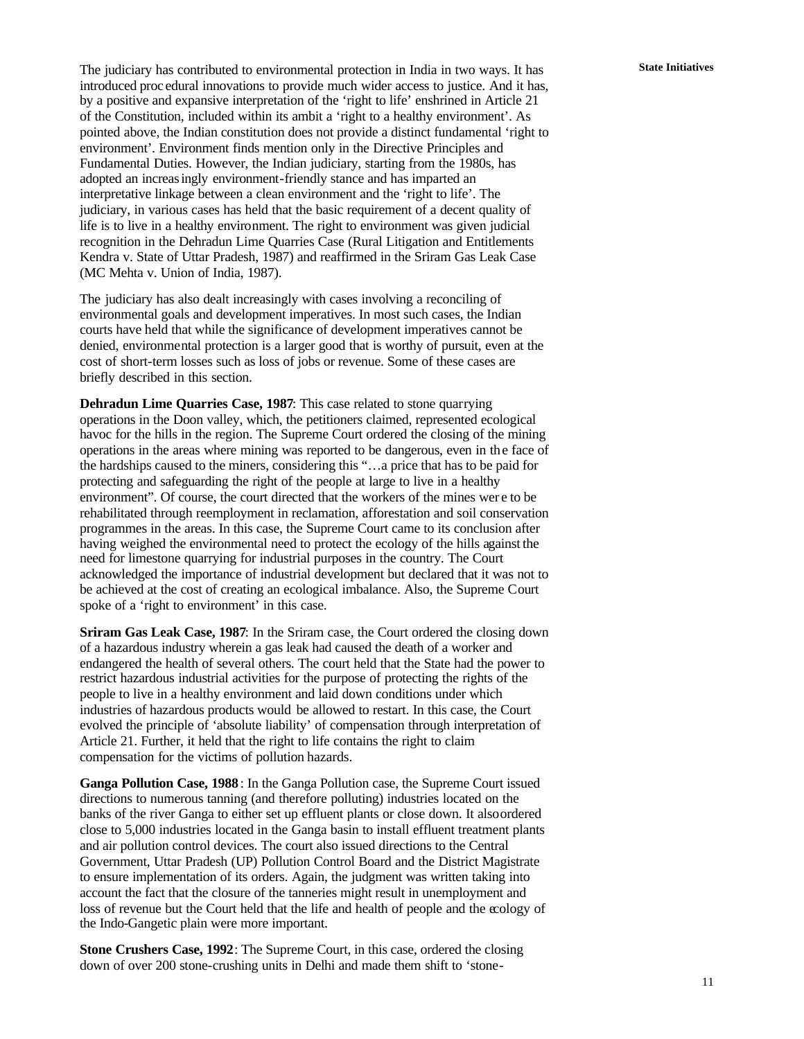The judiciary has contributed to environmental protection in India in two ways. It has **State Initiatives** introduced proc edural innovations to provide much wider access to justice. And it has, by a positive and expansive interpretation of the 'right to life' enshrined in Article 21 of the Constitution, included within its ambit a 'right to a healthy environment'. As pointed above, the Indian constitution does not provide a distinct fundamental 'right to environment'. Environment finds mention only in the Directive Principles and Fundamental Duties. However, the Indian judiciary, starting from the 1980s, has adopted an increasingly environment-friendly stance and has imparted an interpretative linkage between a clean environment and the 'right to life'. The judiciary, in various cases has held that the basic requirement of a decent quality of life is to live in a healthy environment. The right to environment was given judicial recognition in the Dehradun Lime Quarries Case (Rural Litigation and Entitlements Kendra v. State of Uttar Pradesh, 1987) and reaffirmed in the Sriram Gas Leak Case (MC Mehta v. Union of India, 1987).

The judiciary has also dealt increasingly with cases involving a reconciling of environmental goals and development imperatives. In most such cases, the Indian courts have held that while the significance of development imperatives cannot be denied, environmental protection is a larger good that is worthy of pursuit, even at the cost of short-term losses such as loss of jobs or revenue. Some of these cases are briefly described in this section.

**Dehradun Lime Quarries Case, 1987**: This case related to stone quarrying operations in the Doon valley, which, the petitioners claimed, represented ecological havoc for the hills in the region. The Supreme Court ordered the closing of the mining operations in the areas where mining was reported to be dangerous, even in the face of the hardships caused to the miners, considering this "…a price that has to be paid for protecting and safeguarding the right of the people at large to live in a healthy environment". Of course, the court directed that the workers of the mines wer e to be rehabilitated through reemployment in reclamation, afforestation and soil conservation programmes in the areas. In this case, the Supreme Court came to its conclusion after having weighed the environmental need to protect the ecology of the hills against the need for limestone quarrying for industrial purposes in the country. The Court acknowledged the importance of industrial development but declared that it was not to be achieved at the cost of creating an ecological imbalance. Also, the Supreme Court spoke of a 'right to environment' in this case.

**Sriram Gas Leak Case, 1987**: In the Sriram case, the Court ordered the closing down of a hazardous industry wherein a gas leak had caused the death of a worker and endangered the health of several others. The court held that the State had the power to restrict hazardous industrial activities for the purpose of protecting the rights of the people to live in a healthy environment and laid down conditions under which industries of hazardous products would be allowed to restart. In this case, the Court evolved the principle of 'absolute liability' of compensation through interpretation of Article 21. Further, it held that the right to life contains the right to claim compensation for the victims of pollution hazards.

**Ganga Pollution Case, 1988** : In the Ganga Pollution case, the Supreme Court issued directions to numerous tanning (and therefore polluting) industries located on the banks of the river Ganga to either set up effluent plants or close down. It also ordered close to 5,000 industries located in the Ganga basin to install effluent treatment plants and air pollution control devices. The court also issued directions to the Central Government, Uttar Pradesh (UP) Pollution Control Board and the District Magistrate to ensure implementation of its orders. Again, the judgment was written taking into account the fact that the closure of the tanneries might result in unemployment and loss of revenue but the Court held that the life and health of people and the ecology of the Indo-Gangetic plain were more important.

**Stone Crushers Case, 1992**: The Supreme Court, in this case, ordered the closing down of over 200 stone-crushing units in Delhi and made them shift to 'stone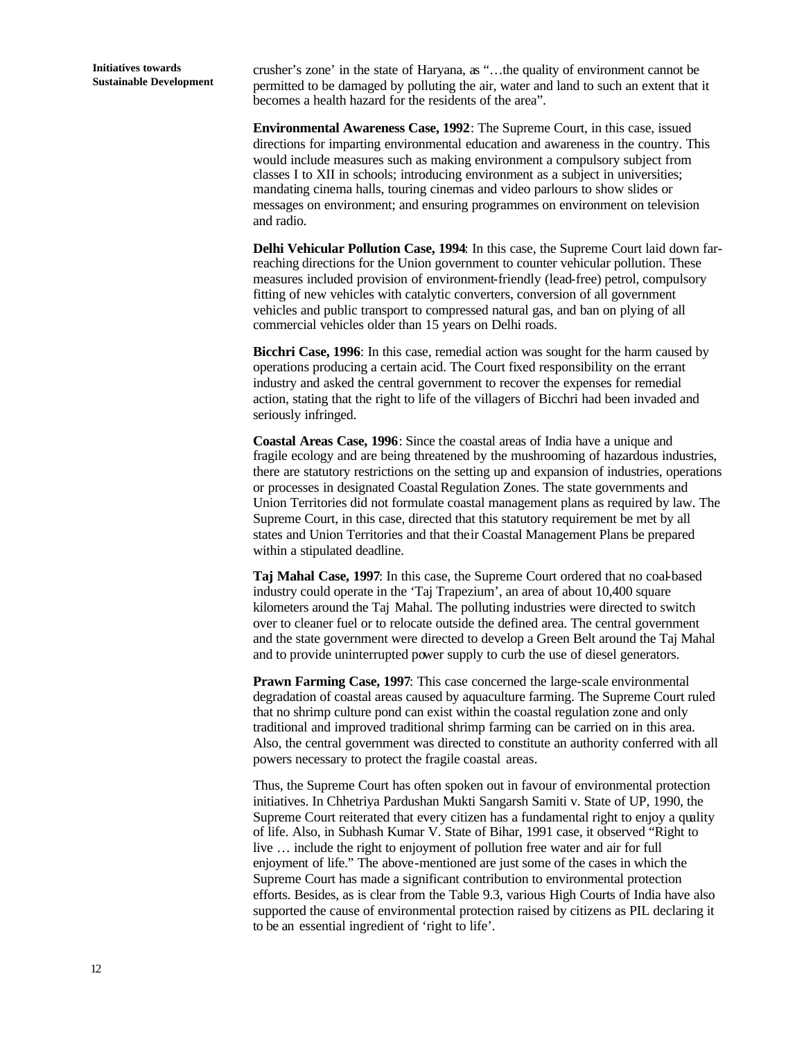**Initiatives towards Sustainable Development** crusher's zone' in the state of Haryana, as "…the quality of environment cannot be permitted to be damaged by polluting the air, water and land to such an extent that it becomes a health hazard for the residents of the area".

**Environmental Awareness Case, 1992**: The Supreme Court, in this case, issued directions for imparting environmental education and awareness in the country. This would include measures such as making environment a compulsory subject from classes I to XII in schools; introducing environment as a subject in universities; mandating cinema halls, touring cinemas and video parlours to show slides or messages on environment; and ensuring programmes on environment on television and radio.

**Delhi Vehicular Pollution Case, 1994**: In this case, the Supreme Court laid down farreaching directions for the Union government to counter vehicular pollution. These measures included provision of environment-friendly (lead-free) petrol, compulsory fitting of new vehicles with catalytic converters, conversion of all government vehicles and public transport to compressed natural gas, and ban on plying of all commercial vehicles older than 15 years on Delhi roads.

**Bicchri Case, 1996**: In this case, remedial action was sought for the harm caused by operations producing a certain acid. The Court fixed responsibility on the errant industry and asked the central government to recover the expenses for remedial action, stating that the right to life of the villagers of Bicchri had been invaded and seriously infringed.

**Coastal Areas Case, 1996**: Since the coastal areas of India have a unique and fragile ecology and are being threatened by the mushrooming of hazardous industries, there are statutory restrictions on the setting up and expansion of industries, operations or processes in designated Coastal Regulation Zones. The state governments and Union Territories did not formulate coastal management plans as required by law. The Supreme Court, in this case, directed that this statutory requirement be met by all states and Union Territories and that their Coastal Management Plans be prepared within a stipulated deadline.

**Taj Mahal Case, 1997**: In this case, the Supreme Court ordered that no coal-based industry could operate in the 'Taj Trapezium', an area of about 10,400 square kilometers around the Taj Mahal. The polluting industries were directed to switch over to cleaner fuel or to relocate outside the defined area. The central government and the state government were directed to develop a Green Belt around the Taj Mahal and to provide uninterrupted power supply to curb the use of diesel generators.

**Prawn Farming Case, 1997**: This case concerned the large-scale environmental degradation of coastal areas caused by aquaculture farming. The Supreme Court ruled that no shrimp culture pond can exist within the coastal regulation zone and only traditional and improved traditional shrimp farming can be carried on in this area. Also, the central government was directed to constitute an authority conferred with all powers necessary to protect the fragile coastal areas.

Thus, the Supreme Court has often spoken out in favour of environmental protection initiatives. In Chhetriya Pardushan Mukti Sangarsh Samiti v. State of UP, 1990, the Supreme Court reiterated that every citizen has a fundamental right to enjoy a quality of life. Also, in Subhash Kumar V. State of Bihar, 1991 case, it observed "Right to live … include the right to enjoyment of pollution free water and air for full enjoyment of life." The above-mentioned are just some of the cases in which the Supreme Court has made a significant contribution to environmental protection efforts. Besides, as is clear from the Table 9.3, various High Courts of India have also supported the cause of environmental protection raised by citizens as PIL declaring it to be an essential ingredient of 'right to life'.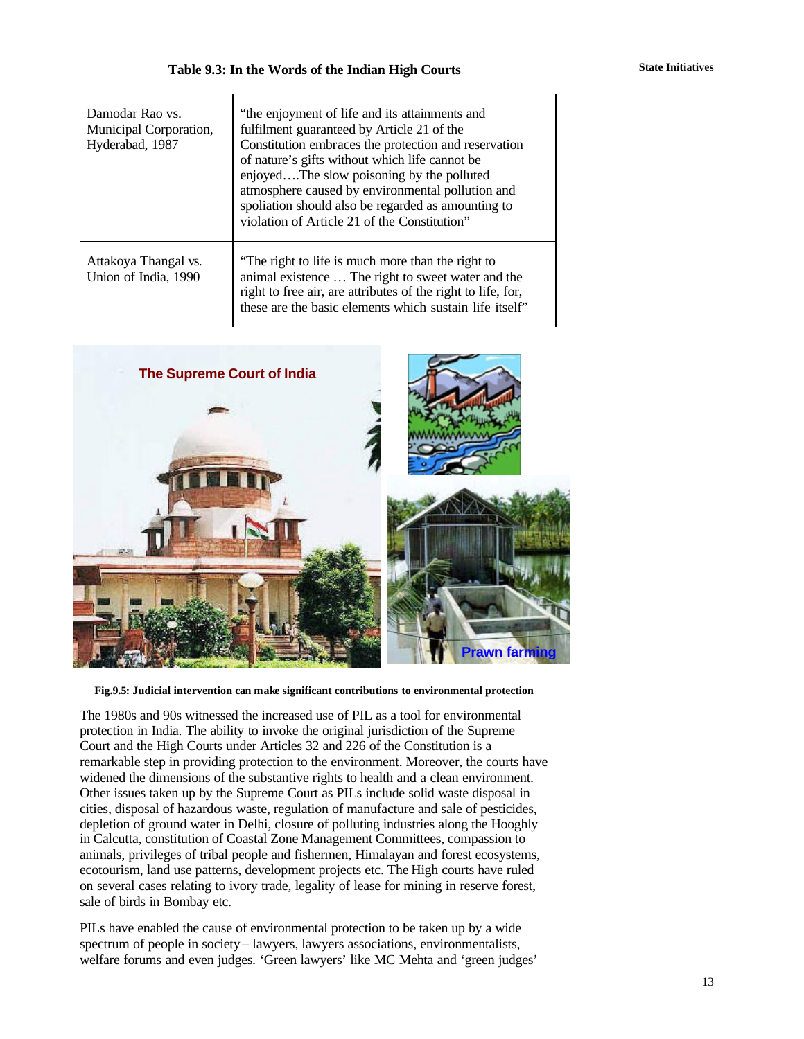| Damodar Rao vs.<br>Municipal Corporation,<br>Hyderabad, 1987 | "the enjoyment of life and its attainments and<br>fulfilment guaranteed by Article 21 of the<br>Constitution embraces the protection and reservation<br>of nature's gifts without which life cannot be<br>enjoyedThe slow poisoning by the polluted<br>atmosphere caused by environmental pollution and<br>spoliation should also be regarded as amounting to<br>violation of Article 21 of the Constitution" |
|--------------------------------------------------------------|---------------------------------------------------------------------------------------------------------------------------------------------------------------------------------------------------------------------------------------------------------------------------------------------------------------------------------------------------------------------------------------------------------------|
| Attakoya Thangal vs.<br>Union of India, 1990                 | "The right to life is much more than the right to<br>animal existence  The right to sweet water and the<br>right to free air, are attributes of the right to life, for,<br>these are the basic elements which sustain life itself"                                                                                                                                                                            |



**Fig.9.5: Judicial intervention can make significant contributions to environmental protection**

The 1980s and 90s witnessed the increased use of PIL as a tool for environmental protection in India. The ability to invoke the original jurisdiction of the Supreme Court and the High Courts under Articles 32 and 226 of the Constitution is a remarkable step in providing protection to the environment. Moreover, the courts have widened the dimensions of the substantive rights to health and a clean environment. Other issues taken up by the Supreme Court as PILs include solid waste disposal in cities, disposal of hazardous waste, regulation of manufacture and sale of pesticides, depletion of ground water in Delhi, closure of polluting industries along the Hooghly in Calcutta, constitution of Coastal Zone Management Committees, compassion to animals, privileges of tribal people and fishermen, Himalayan and forest ecosystems, ecotourism, land use patterns, development projects etc. The High courts have ruled on several cases relating to ivory trade, legality of lease for mining in reserve forest, sale of birds in Bombay etc.

PILs have enabled the cause of environmental protection to be taken up by a wide spectrum of people in society – lawyers, lawyers associations, environmentalists, welfare forums and even judges. 'Green lawyers' like MC Mehta and 'green judges'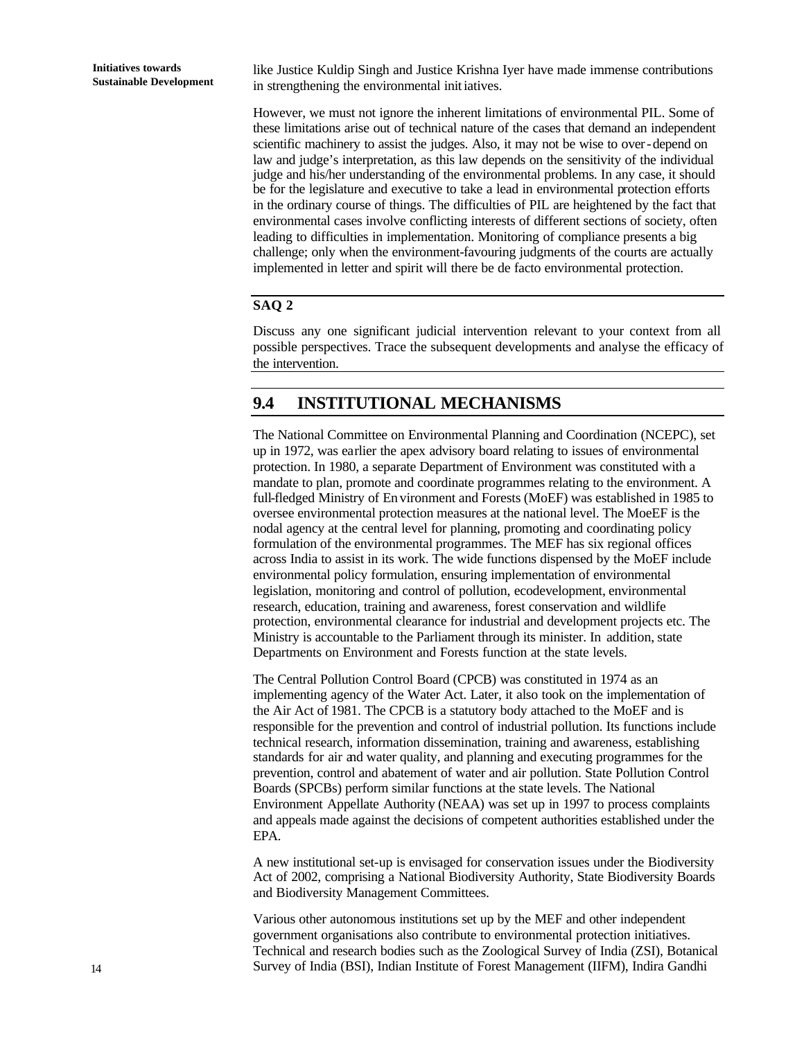like Justice Kuldip Singh and Justice Krishna Iyer have made immense contributions in strengthening the environmental initiatives.

However, we must not ignore the inherent limitations of environmental PIL. Some of these limitations arise out of technical nature of the cases that demand an independent scientific machinery to assist the judges. Also, it may not be wise to over-depend on law and judge's interpretation, as this law depends on the sensitivity of the individual judge and his/her understanding of the environmental problems. In any case, it should be for the legislature and executive to take a lead in environmental protection efforts in the ordinary course of things. The difficulties of PIL are heightened by the fact that environmental cases involve conflicting interests of different sections of society, often leading to difficulties in implementation. Monitoring of compliance presents a big challenge; only when the environment-favouring judgments of the courts are actually implemented in letter and spirit will there be de facto environmental protection.

### **SAQ 2**

Discuss any one significant judicial intervention relevant to your context from all possible perspectives. Trace the subsequent developments and analyse the efficacy of the intervention.

### **9.4 INSTITUTIONAL MECHANISMS**

The National Committee on Environmental Planning and Coordination (NCEPC), set up in 1972, was earlier the apex advisory board relating to issues of environmental protection. In 1980, a separate Department of Environment was constituted with a mandate to plan, promote and coordinate programmes relating to the environment. A full-fledged Ministry of En vironment and Forests (MoEF) was established in 1985 to oversee environmental protection measures at the national level. The MoeEF is the nodal agency at the central level for planning, promoting and coordinating policy formulation of the environmental programmes. The MEF has six regional offices across India to assist in its work. The wide functions dispensed by the MoEF include environmental policy formulation, ensuring implementation of environmental legislation, monitoring and control of pollution, ecodevelopment, environmental research, education, training and awareness, forest conservation and wildlife protection, environmental clearance for industrial and development projects etc. The Ministry is accountable to the Parliament through its minister. In addition, state Departments on Environment and Forests function at the state levels.

The Central Pollution Control Board (CPCB) was constituted in 1974 as an implementing agency of the Water Act. Later, it also took on the implementation of the Air Act of 1981. The CPCB is a statutory body attached to the MoEF and is responsible for the prevention and control of industrial pollution. Its functions include technical research, information dissemination, training and awareness, establishing standards for air and water quality, and planning and executing programmes for the prevention, control and abatement of water and air pollution. State Pollution Control Boards (SPCBs) perform similar functions at the state levels. The National Environment Appellate Authority (NEAA) was set up in 1997 to process complaints and appeals made against the decisions of competent authorities established under the EPA.

A new institutional set-up is envisaged for conservation issues under the Biodiversity Act of 2002, comprising a National Biodiversity Authority, State Biodiversity Boards and Biodiversity Management Committees.

Various other autonomous institutions set up by the MEF and other independent government organisations also contribute to environmental protection initiatives. Technical and research bodies such as the Zoological Survey of India (ZSI), Botanical Survey of India (BSI), Indian Institute of Forest Management (IIFM), Indira Gandhi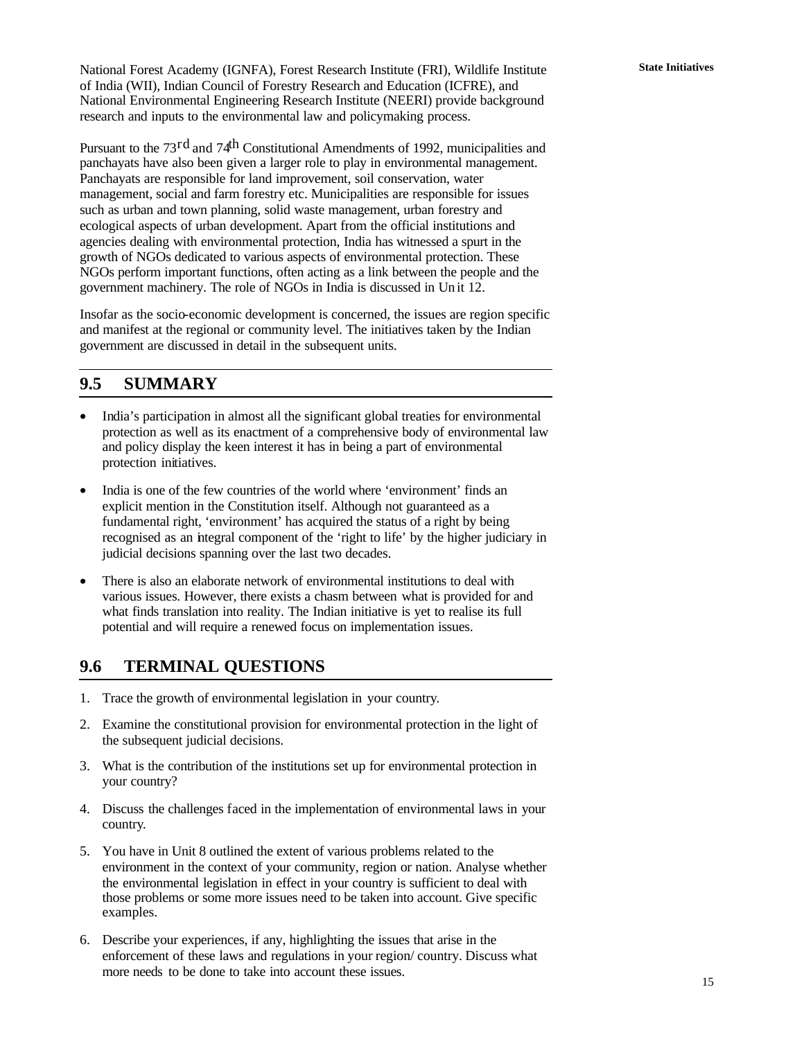National Forest Academy (IGNFA), Forest Research Institute (FRI), Wildlife Institute **State Initiatives** of India (WII), Indian Council of Forestry Research and Education (ICFRE), and National Environmental Engineering Research Institute (NEERI) provide background research and inputs to the environmental law and policymaking process.

Pursuant to the 73<sup>rd</sup> and 74<sup>th</sup> Constitutional Amendments of 1992, municipalities and panchayats have also been given a larger role to play in environmental management. Panchayats are responsible for land improvement, soil conservation, water management, social and farm forestry etc. Municipalities are responsible for issues such as urban and town planning, solid waste management, urban forestry and ecological aspects of urban development. Apart from the official institutions and agencies dealing with environmental protection, India has witnessed a spurt in the growth of NGOs dedicated to various aspects of environmental protection. These NGOs perform important functions, often acting as a link between the people and the government machinery. The role of NGOs in India is discussed in Unit 12.

Insofar as the socio-economic development is concerned, the issues are region specific and manifest at the regional or community level. The initiatives taken by the Indian government are discussed in detail in the subsequent units.

### **9.5 SUMMARY**

- India's participation in almost all the significant global treaties for environmental protection as well as its enactment of a comprehensive body of environmental law and policy display the keen interest it has in being a part of environmental protection initiatives.
- India is one of the few countries of the world where 'environment' finds an explicit mention in the Constitution itself. Although not guaranteed as a fundamental right, 'environment' has acquired the status of a right by being recognised as an integral component of the 'right to life' by the higher judiciary in judicial decisions spanning over the last two decades.
- There is also an elaborate network of environmental institutions to deal with various issues. However, there exists a chasm between what is provided for and what finds translation into reality. The Indian initiative is yet to realise its full potential and will require a renewed focus on implementation issues.

### **9.6 TERMINAL QUESTIONS**

- 1. Trace the growth of environmental legislation in your country.
- 2. Examine the constitutional provision for environmental protection in the light of the subsequent judicial decisions.
- 3. What is the contribution of the institutions set up for environmental protection in your country?
- 4. Discuss the challenges faced in the implementation of environmental laws in your country.
- 5. You have in Unit 8 outlined the extent of various problems related to the environment in the context of your community, region or nation. Analyse whether the environmental legislation in effect in your country is sufficient to deal with those problems or some more issues need to be taken into account. Give specific examples.
- 6. Describe your experiences, if any, highlighting the issues that arise in the enforcement of these laws and regulations in your region/ country. Discuss what more needs to be done to take into account these issues.